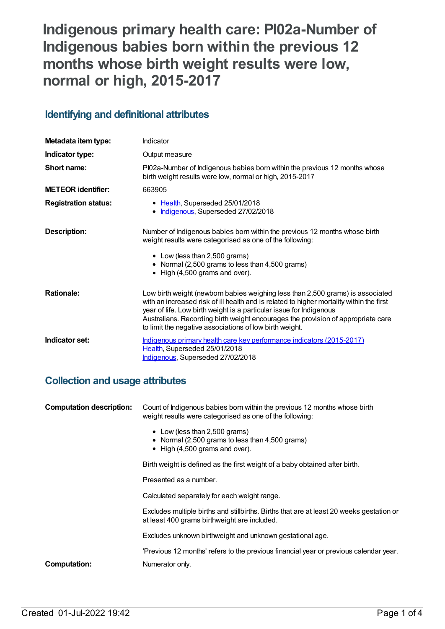# **Indigenous primary health care: PI02a-Number of Indigenous babies born within the previous 12 months whose birth weight results were low, normal or high, 2015-2017**

# **Identifying and definitional attributes**

| Metadata item type:         | Indicator                                                                                                                                                                                                                                                                                                                                                                                        |
|-----------------------------|--------------------------------------------------------------------------------------------------------------------------------------------------------------------------------------------------------------------------------------------------------------------------------------------------------------------------------------------------------------------------------------------------|
| Indicator type:             | Output measure                                                                                                                                                                                                                                                                                                                                                                                   |
| Short name:                 | PI02a-Number of Indigenous babies born within the previous 12 months whose<br>birth weight results were low, normal or high, 2015-2017                                                                                                                                                                                                                                                           |
| <b>METEOR identifier:</b>   | 663905                                                                                                                                                                                                                                                                                                                                                                                           |
| <b>Registration status:</b> | • Health, Superseded 25/01/2018<br>• Indigenous, Superseded 27/02/2018                                                                                                                                                                                                                                                                                                                           |
| <b>Description:</b>         | Number of Indigenous babies born within the previous 12 months whose birth<br>weight results were categorised as one of the following:<br>• Low (less than 2,500 grams)<br>• Normal (2,500 grams to less than 4,500 grams)<br>• High (4,500 grams and over).                                                                                                                                     |
| <b>Rationale:</b>           | Low birth weight (newborn babies weighing less than 2,500 grams) is associated<br>with an increased risk of ill health and is related to higher mortality within the first<br>year of life. Low birth weight is a particular issue for Indigenous<br>Australians. Recording birth weight encourages the provision of appropriate care<br>to limit the negative associations of low birth weight. |
| Indicator set:              | Indigenous primary health care key performance indicators (2015-2017)<br>Health, Superseded 25/01/2018<br>Indigenous, Superseded 27/02/2018                                                                                                                                                                                                                                                      |

# **Collection and usage attributes**

| <b>Computation description:</b>                                                                                                                                                                   | Count of Indigenous babies born within the previous 12 months whose birth<br>weight results were categorised as one of the following: |
|---------------------------------------------------------------------------------------------------------------------------------------------------------------------------------------------------|---------------------------------------------------------------------------------------------------------------------------------------|
| • Low (less than 2,500 grams)<br>$\bullet$ High (4,500 grams and over).<br>Presented as a number.<br>Calculated separately for each weight range.<br>at least 400 grams birthweight are included. | • Normal (2,500 grams to less than 4,500 grams)                                                                                       |
|                                                                                                                                                                                                   | Birth weight is defined as the first weight of a baby obtained after birth.                                                           |
|                                                                                                                                                                                                   |                                                                                                                                       |
|                                                                                                                                                                                                   |                                                                                                                                       |
|                                                                                                                                                                                                   | Excludes multiple births and stillbirths. Births that are at least 20 weeks gestation or                                              |
|                                                                                                                                                                                                   | Excludes unknown birthweight and unknown gestational age.                                                                             |
|                                                                                                                                                                                                   | 'Previous 12 months' refers to the previous financial year or previous calendar year.                                                 |
| <b>Computation:</b>                                                                                                                                                                               | Numerator only.                                                                                                                       |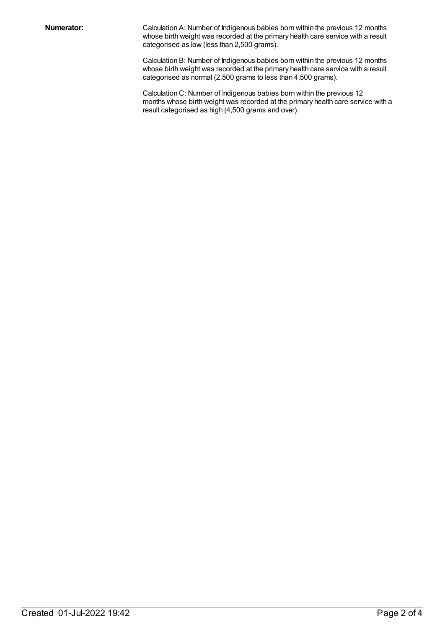**Numerator:** Calculation A: Number of Indigenous babies born within the previous 12 months whose birth weight was recorded at the primary health care service with a result categorised as low (less than 2,500 grams).

> Calculation B: Number of Indigenous babies born within the previous 12 months whose birth weight was recorded at the primary health care service with a result categorised as normal (2,500 grams to less than 4,500 grams).

Calculation C: Number of Indigenous babies born within the previous 12 months whose birth weight was recorded at the primary health care service with a result categorised as high (4,500 grams and over).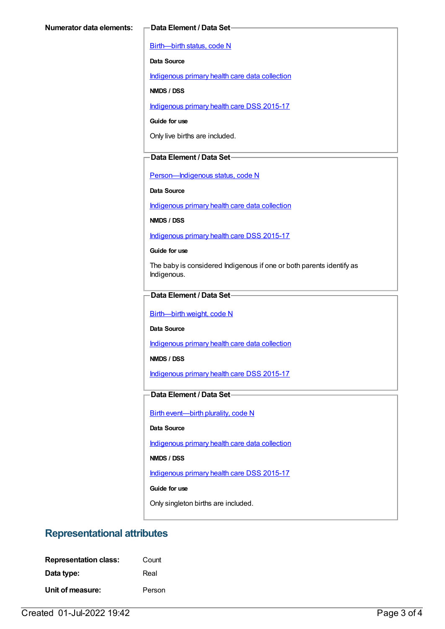[Birth—birth](https://meteor.aihw.gov.au/content/269949) status, code N

**Data Source**

[Indigenous](https://meteor.aihw.gov.au/content/430643) primary health care data collection

**NMDS / DSS**

[Indigenous](https://meteor.aihw.gov.au/content/585036) primary health care DSS 2015-17

**Guide for use**

Only live births are included.

#### **Data Element / Data Set**

[Person—Indigenous](https://meteor.aihw.gov.au/content/291036) status, code N

**Data Source**

[Indigenous](https://meteor.aihw.gov.au/content/430643) primary health care data collection

**NMDS / DSS**

[Indigenous](https://meteor.aihw.gov.au/content/585036) primary health care DSS 2015-17

**Guide for use**

The baby is considered Indigenous if one or both parents identify as Indigenous.

#### **Data Element / Data Set**

[Birth—birth](https://meteor.aihw.gov.au/content/459938) weight, code N

**Data Source**

[Indigenous](https://meteor.aihw.gov.au/content/430643) primary health care data collection

**NMDS / DSS**

[Indigenous](https://meteor.aihw.gov.au/content/585036) primary health care DSS 2015-17

### **Data Element / Data Set**

Birth [event—birth](https://meteor.aihw.gov.au/content/482409) plurality, code N

#### **Data Source**

[Indigenous](https://meteor.aihw.gov.au/content/430643) primary health care data collection

**NMDS / DSS**

[Indigenous](https://meteor.aihw.gov.au/content/585036) primary health care DSS 2015-17

**Guide for use**

Only singleton births are included.

# **Representational attributes**

| <b>Representation class:</b> | Count  |
|------------------------------|--------|
| Data type:                   | Real   |
| Unit of measure:             | Person |